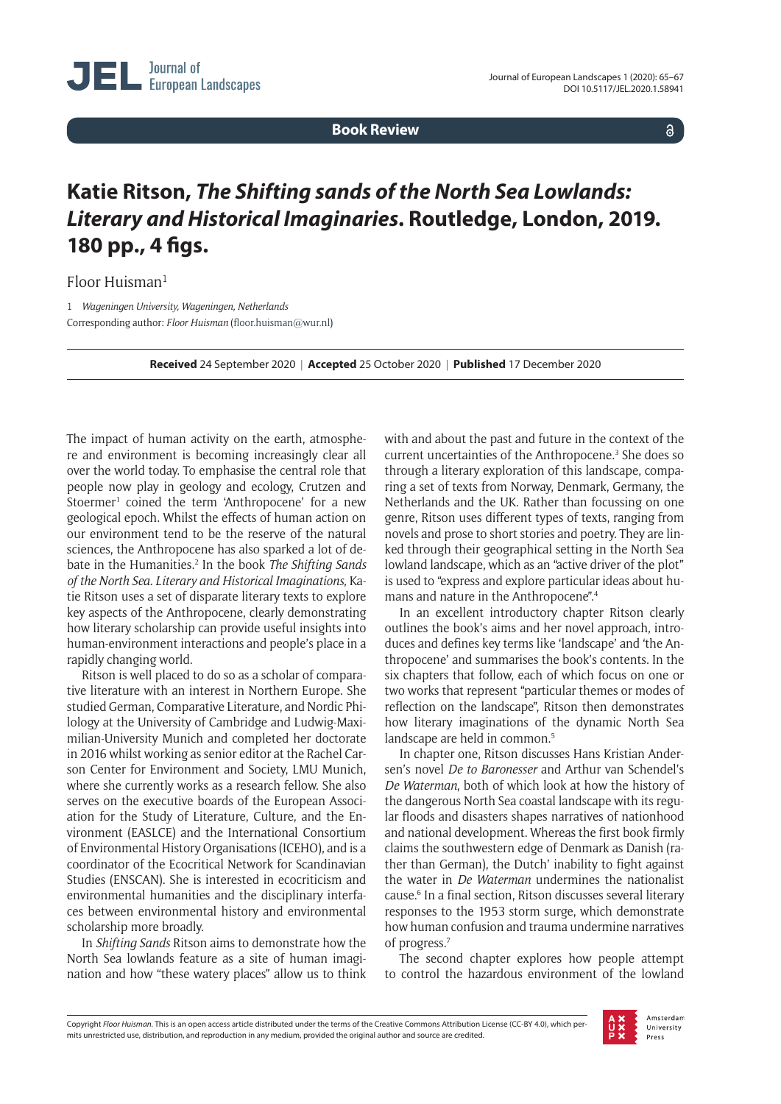**Book Review**

 $\delta$ 

## **Katie Ritson,** *The Shifting sands of the North Sea Lowlands: Literary and Historical Imaginaries***. Routledge, London, 2019. 180 pp., 4 figs.**

Floor Huisman<sup>1</sup>

1 *Wageningen University, Wageningen, Netherlands* Corresponding author: *Floor Huisman* [\(floor.huisman@wur.nl\)](mailto:floor.huisman@wur.nl)

**Received** 24 September 2020 | **Accepted** 25 October 2020 | **Published** 17 December 2020

The impact of human activity on the earth, atmosphere and environment is becoming increasingly clear all over the world today. To emphasise the central role that people now play in geology and ecology, Crutzen and Stoermer<sup>1</sup> coined the term 'Anthropocene' for a new geological epoch. Whilst the effects of human action on our environment tend to be the reserve of the natural sciences, the Anthropocene has also sparked a lot of debate in the Humanities.<sup>2</sup> In the book *The Shifting Sands of the North Sea. Literary and Historical Imaginations*, Katie Ritson uses a set of disparate literary texts to explore key aspects of the Anthropocene, clearly demonstrating how literary scholarship can provide useful insights into human-environment interactions and people's place in a rapidly changing world.

Ritson is well placed to do so as a scholar of comparative literature with an interest in Northern Europe. She studied German, Comparative Literature, and Nordic Philology at the University of Cambridge and Ludwig-Maximilian-University Munich and completed her doctorate in 2016 whilst working as senior editor at the Rachel Carson Center for Environment and Society, LMU Munich, where she currently works as a research fellow. She also serves on the executive boards of the European Association for the Study of Literature, Culture, and the Environment (EASLCE) and the International Consortium of Environmental History Organisations (ICEHO), and is a coordinator of the Ecocritical Network for Scandinavian Studies (ENSCAN). She is interested in ecocriticism and environmental humanities and the disciplinary interfaces between environmental history and environmental scholarship more broadly.

In *Shifting Sands* Ritson aims to demonstrate how the North Sea lowlands feature as a site of human imagination and how "these watery places" allow us to think with and about the past and future in the context of the current uncertainties of the Anthropocene.<sup>3</sup> She does so through a literary exploration of this landscape, comparing a set of texts from Norway, Denmark, Germany, the Netherlands and the UK. Rather than focussing on one genre, Ritson uses different types of texts, ranging from novels and prose to short stories and poetry. They are linked through their geographical setting in the North Sea lowland landscape, which as an "active driver of the plot" is used to "express and explore particular ideas about humans and nature in the Anthropocene".4

In an excellent introductory chapter Ritson clearly outlines the book's aims and her novel approach, introduces and defines key terms like 'landscape' and 'the Anthropocene' and summarises the book's contents. In the six chapters that follow, each of which focus on one or two works that represent "particular themes or modes of reflection on the landscape", Ritson then demonstrates how literary imaginations of the dynamic North Sea landscape are held in common.<sup>5</sup>

In chapter one, Ritson discusses Hans Kristian Andersen's novel *De to Baronesser* and Arthur van Schendel's *De Waterman*, both of which look at how the history of the dangerous North Sea coastal landscape with its regular floods and disasters shapes narratives of nationhood and national development. Whereas the first book firmly claims the southwestern edge of Denmark as Danish (rather than German), the Dutch' inability to fight against the water in *De Waterman* undermines the nationalist cause.6 In a final section, Ritson discusses several literary responses to the 1953 storm surge, which demonstrate how human confusion and trauma undermine narratives of progress.7

The second chapter explores how people attempt to control the hazardous environment of the lowland

Copyright *Floor Huisman.* This is an open access article distributed under the terms of the Creative Commons Attribution License (CC-BY 4.0), which permits unrestricted use, distribution, and reproduction in any medium, provided the original author and source are credited.

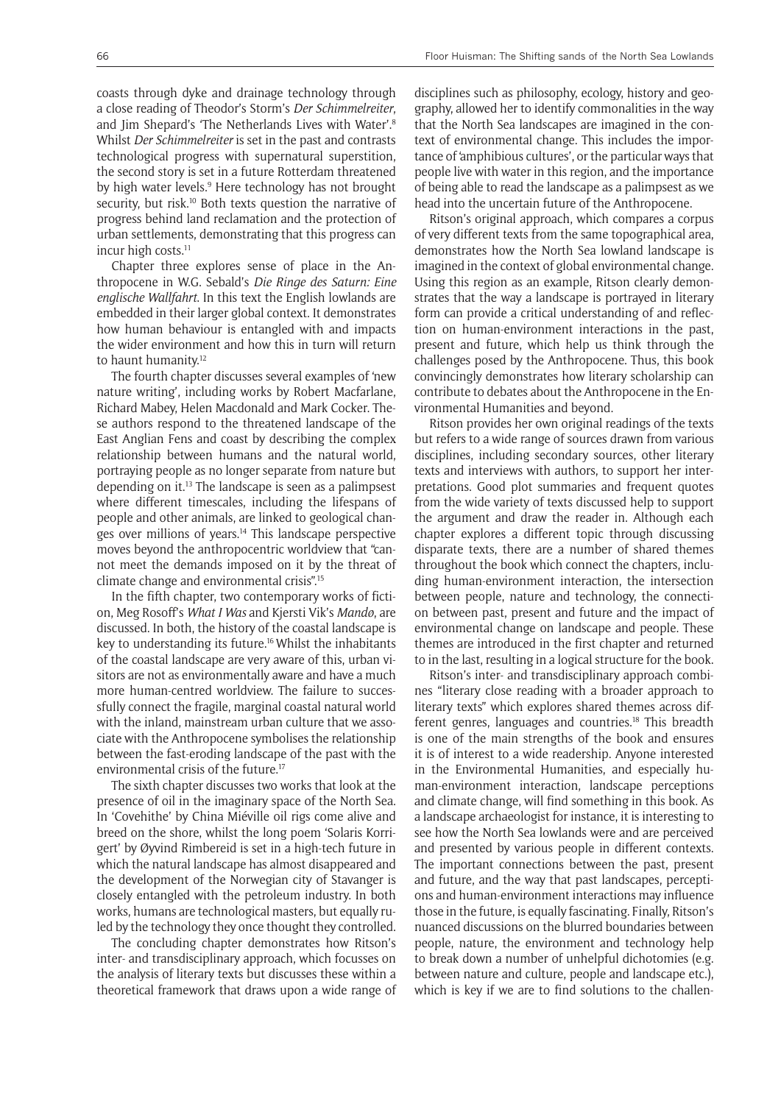coasts through dyke and drainage technology through a close reading of Theodor's Storm's *Der Schimmelreiter*, and Jim Shepard's 'The Netherlands Lives with Water'.8 Whilst *Der Schimmelreiter* is set in the past and contrasts technological progress with supernatural superstition, the second story is set in a future Rotterdam threatened by high water levels.<sup>9</sup> Here technology has not brought security, but risk.<sup>10</sup> Both texts question the narrative of progress behind land reclamation and the protection of urban settlements, demonstrating that this progress can incur high costs.<sup>11</sup>

Chapter three explores sense of place in the Anthropocene in W.G. Sebald's *Die Ringe des Saturn: Eine englische Wallfahrt*. In this text the English lowlands are embedded in their larger global context. It demonstrates how human behaviour is entangled with and impacts the wider environment and how this in turn will return to haunt humanity.12

The fourth chapter discusses several examples of 'new nature writing', including works by Robert Macfarlane, Richard Mabey, Helen Macdonald and Mark Cocker. These authors respond to the threatened landscape of the East Anglian Fens and coast by describing the complex relationship between humans and the natural world, portraying people as no longer separate from nature but depending on it.13 The landscape is seen as a palimpsest where different timescales, including the lifespans of people and other animals, are linked to geological changes over millions of years.14 This landscape perspective moves beyond the anthropocentric worldview that "cannot meet the demands imposed on it by the threat of climate change and environmental crisis".15

In the fifth chapter, two contemporary works of fiction, Meg Rosoff's *What I Was* and Kjersti Vik's *Mandø*, are discussed. In both, the history of the coastal landscape is key to understanding its future.16 Whilst the inhabitants of the coastal landscape are very aware of this, urban visitors are not as environmentally aware and have a much more human-centred worldview. The failure to successfully connect the fragile, marginal coastal natural world with the inland, mainstream urban culture that we associate with the Anthropocene symbolises the relationship between the fast-eroding landscape of the past with the environmental crisis of the future.17

The sixth chapter discusses two works that look at the presence of oil in the imaginary space of the North Sea. In 'Covehithe' by China Miéville oil rigs come alive and breed on the shore, whilst the long poem 'Solaris Korrigert' by Øyvind Rimbereid is set in a high-tech future in which the natural landscape has almost disappeared and the development of the Norwegian city of Stavanger is closely entangled with the petroleum industry. In both works, humans are technological masters, but equally ruled by the technology they once thought they controlled.

The concluding chapter demonstrates how Ritson's inter- and transdisciplinary approach, which focusses on the analysis of literary texts but discusses these within a theoretical framework that draws upon a wide range of

disciplines such as philosophy, ecology, history and geography, allowed her to identify commonalities in the way that the North Sea landscapes are imagined in the context of environmental change. This includes the importance of 'amphibious cultures', or the particular ways that people live with water in this region, and the importance of being able to read the landscape as a palimpsest as we head into the uncertain future of the Anthropocene.

Ritson's original approach, which compares a corpus of very different texts from the same topographical area, demonstrates how the North Sea lowland landscape is imagined in the context of global environmental change. Using this region as an example, Ritson clearly demonstrates that the way a landscape is portrayed in literary form can provide a critical understanding of and reflection on human-environment interactions in the past, present and future, which help us think through the challenges posed by the Anthropocene. Thus, this book convincingly demonstrates how literary scholarship can contribute to debates about the Anthropocene in the Environmental Humanities and beyond.

Ritson provides her own original readings of the texts but refers to a wide range of sources drawn from various disciplines, including secondary sources, other literary texts and interviews with authors, to support her interpretations. Good plot summaries and frequent quotes from the wide variety of texts discussed help to support the argument and draw the reader in. Although each chapter explores a different topic through discussing disparate texts, there are a number of shared themes throughout the book which connect the chapters, including human-environment interaction, the intersection between people, nature and technology, the connection between past, present and future and the impact of environmental change on landscape and people. These themes are introduced in the first chapter and returned to in the last, resulting in a logical structure for the book.

Ritson's inter- and transdisciplinary approach combines "literary close reading with a broader approach to literary texts" which explores shared themes across different genres, languages and countries.<sup>18</sup> This breadth is one of the main strengths of the book and ensures it is of interest to a wide readership. Anyone interested in the Environmental Humanities, and especially human-environment interaction, landscape perceptions and climate change, will find something in this book. As a landscape archaeologist for instance, it is interesting to see how the North Sea lowlands were and are perceived and presented by various people in different contexts. The important connections between the past, present and future, and the way that past landscapes, perceptions and human-environment interactions may influence those in the future, is equally fascinating. Finally, Ritson's nuanced discussions on the blurred boundaries between people, nature, the environment and technology help to break down a number of unhelpful dichotomies (e.g. between nature and culture, people and landscape etc.), which is key if we are to find solutions to the challen-